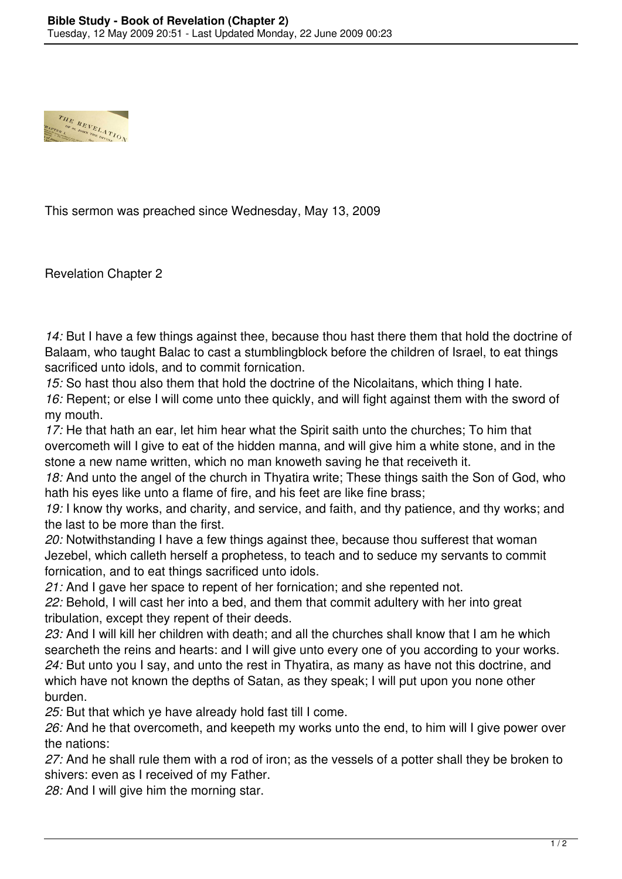

This sermon was preached since Wednesday, May 13, 2009

Revelation Chapter 2

*14:* But I have a few things against thee, because thou hast there them that hold the doctrine of Balaam, who taught Balac to cast a stumblingblock before the children of Israel, to eat things sacrificed unto idols, and to commit fornication.

*15:* So hast thou also them that hold the doctrine of the Nicolaitans, which thing I hate. *16:* Repent; or else I will come unto thee quickly, and will fight against them with the sword of my mouth.

*17:* He that hath an ear, let him hear what the Spirit saith unto the churches; To him that overcometh will I give to eat of the hidden manna, and will give him a white stone, and in the stone a new name written, which no man knoweth saving he that receiveth it.

*18:* And unto the angel of the church in Thyatira write; These things saith the Son of God, who hath his eyes like unto a flame of fire, and his feet are like fine brass;

*19:* I know thy works, and charity, and service, and faith, and thy patience, and thy works; and the last to be more than the first.

*20:* Notwithstanding I have a few things against thee, because thou sufferest that woman Jezebel, which calleth herself a prophetess, to teach and to seduce my servants to commit fornication, and to eat things sacrificed unto idols.

*21:* And I gave her space to repent of her fornication; and she repented not.

*22:* Behold, I will cast her into a bed, and them that commit adultery with her into great tribulation, except they repent of their deeds.

*23:* And I will kill her children with death; and all the churches shall know that I am he which searcheth the reins and hearts: and I will give unto every one of you according to your works. *24:* But unto you I say, and unto the rest in Thyatira, as many as have not this doctrine, and which have not known the depths of Satan, as they speak; I will put upon you none other burden.

*25:* But that which ye have already hold fast till I come.

*26:* And he that overcometh, and keepeth my works unto the end, to him will I give power over the nations:

*27:* And he shall rule them with a rod of iron; as the vessels of a potter shall they be broken to shivers: even as I received of my Father.

*28:* And I will give him the morning star.